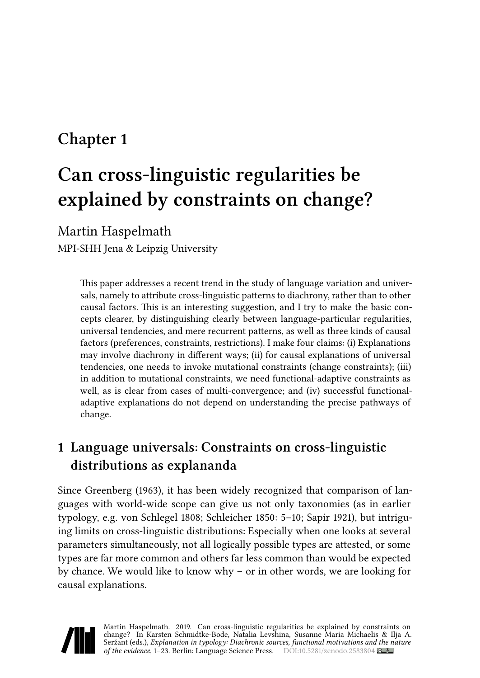# **Chapter 1**

# **Can cross-linguistic regularities be explained by constraints on change?**

Martin Haspelmath

MPI-SHH Jena & Leipzig University

This paper addresses a recent trend in the study of language variation and universals, namely to attribute cross-linguistic patterns to diachrony, rather than to other causal factors. This is an interesting suggestion, and I try to make the basic concepts clearer, by distinguishing clearly between language-particular regularities, universal tendencies, and mere recurrent patterns, as well as three kinds of causal factors (preferences, constraints, restrictions). I make four claims: (i) Explanations may involve diachrony in different ways; (ii) for causal explanations of universal tendencies, one needs to invoke mutational constraints (change constraints); (iii) in addition to mutational constraints, we need functional-adaptive constraints as well, as is clear from cases of multi-convergence; and (iv) successful functionaladaptive explanations do not depend on understanding the precise pathways of change.

# <span id="page-0-0"></span>**1 Language universals: Constraints on cross-linguistic distributions as explananda**

Since [Greenberg \(1963\)](#page-19-0), it has been widely recognized that comparison of languages with world-wide scope can give us not only taxonomies (as in earlier typology, e.g. [von Schlegel 1808](#page-22-0); [Schleicher 1850](#page-21-0): 5–10; [Sapir 1921\)](#page-21-1), but intriguing limits on cross-linguistic distributions: Especially when one looks at several parameters simultaneously, not all logically possible types are attested, or some types are far more common and others far less common than would be expected by chance. We would like to know why – or in other words, we are looking for causal explanations.

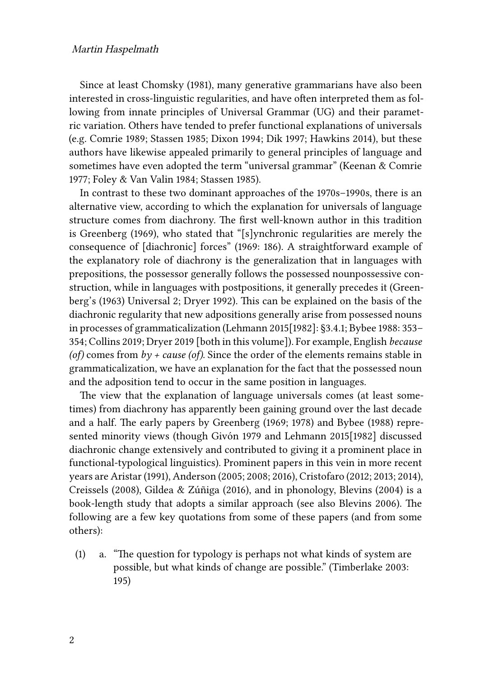Since at least [Chomsky \(1981\)](#page-18-0), many generative grammarians have also been interested in cross-linguistic regularities, and have often interpreted them as following from innate principles of Universal Grammar (UG) and their parametric variation. Others have tended to prefer functional explanations of universals (e.g. [Comrie 1989;](#page-18-1) [Stassen 1985;](#page-21-2) [Dixon 1994;](#page-19-1) [Dik 1997;](#page-19-2) [Hawkins 2014](#page-20-0)), but these authors have likewise appealed primarily to general principles of language and sometimes have even adopted the term "universal grammar" [\(Keenan & Comrie](#page-20-1) [1977](#page-20-1); [Foley & Van Valin 1984](#page-19-3); [Stassen 1985\)](#page-21-2).

In contrast to these two dominant approaches of the 1970s–1990s, there is an alternative view, according to which the explanation for universals of language structure comes from diachrony. The first well-known author in this tradition is [Greenberg \(1969\)](#page-19-4), who stated that "[s]ynchronic regularities are merely the consequence of [diachronic] forces" (1969: 186). A straightforward example of the explanatory role of diachrony is the generalization that in languages with prepositions, the possessor generally follows the possessed nounpossessive construction, while in languages with postpositions, it generally precedes it([Green](#page-19-0)[berg](#page-19-0)'s (1963) Universal 2; [Dryer 1992](#page-19-5)). This can be explained on the basis of the diachronic regularity that new adpositions generally arise from possessed nouns in processes of grammaticalization([Lehmann 2015\[1982\]](#page-20-2): §3.4.1; [Bybee 1988](#page-17-0): 353– 354; [Collins 2019](#page-18-2); [Dryer 2019](#page-19-6) [both in this volume]). For example, English *because (of)* comes from  $b\gamma$  + *cause (of)*. Since the order of the elements remains stable in grammaticalization, we have an explanation for the fact that the possessed noun and the adposition tend to occur in the same position in languages.

The view that the explanation of language universals comes (at least sometimes) from diachrony has apparently been gaining ground over the last decade and a half. The early papers by [Greenberg \(1969](#page-19-4); [1978](#page-20-3)) and [Bybee \(1988\)](#page-17-0) represented minority views (though [Givón 1979](#page-19-7) and [Lehmann 2015\[1982\]](#page-20-2) discussed diachronic change extensively and contributed to giving it a prominent place in functional-typological linguistics). Prominent papers in this vein in more recent years are [Aristar \(1991\)](#page-17-1), [Anderson \(2005](#page-17-2); [2008;](#page-17-3) [2016](#page-17-4)), [Cristofaro \(2012;](#page-18-3) [2013;](#page-18-4) [2014](#page-18-5)), [Creissels \(2008\),](#page-18-6) [Gildea & Zúñiga \(2016\)](#page-19-8), and in phonology, [Blevins \(2004\)](#page-17-5) is a book-length study that adopts a similar approach (see also [Blevins 2006](#page-17-6)). The following are a few key quotations from some of these papers (and from some others):

(1) a. "The question for typology is perhaps not what kinds of system are possible, but what kinds of change are possible."([Timberlake 2003](#page-21-3): 195)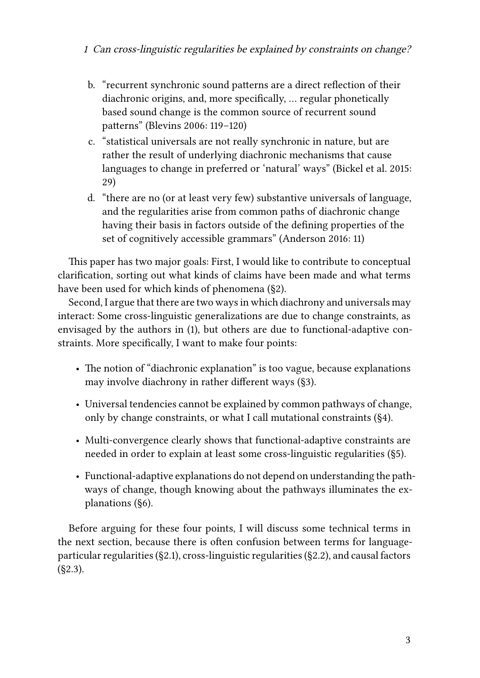- b. "recurrent synchronic sound patterns are a direct reflection of their diachronic origins, and, more specifically, … regular phonetically based sound change is the common source of recurrent sound patterns" [\(Blevins 2006:](#page-17-6) 119–120)
- c. "statistical universals are not really synchronic in nature, but are rather the result of underlying diachronic mechanisms that cause languages to change in preferred or 'natural' ways" [\(Bickel et al. 2015:](#page-17-7) 29)
- d. "there are no (or at least very few) substantive universals of language, and the regularities arise from common paths of diachronic change having their basis in factors outside of the defining properties of the set of cognitively accessible grammars"([Anderson 2016:](#page-17-4) 11)

This paper has two major goals: First, I would like to contribute to conceptual clarification, sorting out what kinds of claims have been made and what terms have been used for which kinds of phenomena (§[2](#page-3-0)).

Second, I argue that there are two ways in which diachrony and universals may interact: Some cross-linguistic generalizations are due to change constraints, as envisaged by the authors in (1), but others are due to functional-adaptive constraints. More specifically, I want to make four points:

- The notion of "diachronic explanation" is too vague, because explanations may involve diachrony in rather different ways ([§3](#page-7-0)).
- Universal tendencies cannot be explained by common pathways of change, only by change constraints, or what I call mutational constraints (§[4](#page-9-0)).
- Multi-convergence clearly shows that functional-adaptive constraints are needed in order to explain at least some cross-linguistic regularities (§[5](#page-11-0)).
- Functional-adaptive explanations do not depend on understanding the pathways of change, though knowing about the pathways illuminates the explanations ([§6](#page-12-0)).

Before arguing for these four points, I will discuss some technical terms in the next section, because there is often confusion between terms for languageparticular regularities ([§2.1\)](#page-3-1), cross-linguistic regularities (§[2.2\)](#page-4-0), and causal factors  $(S(2.3))$ .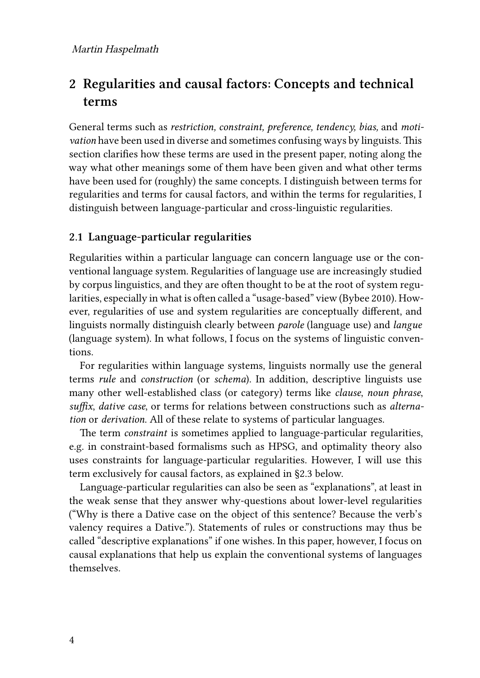# <span id="page-3-0"></span>**2 Regularities and causal factors: Concepts and technical terms**

General terms such as *restriction, constraint, preference, tendency, bias,* and *motivation* have been used in diverse and sometimes confusing ways by linguists. This section clarifies how these terms are used in the present paper, noting along the way what other meanings some of them have been given and what other terms have been used for (roughly) the same concepts. I distinguish between terms for regularities and terms for causal factors, and within the terms for regularities, I distinguish between language-particular and cross-linguistic regularities.

#### <span id="page-3-1"></span>**2.1 Language-particular regularities**

Regularities within a particular language can concern language use or the conventional language system. Regularities of language use are increasingly studied by corpus linguistics, and they are often thought to be at the root of system regularities, especially in what is often called a "usage-based" view([Bybee 2010\)](#page-18-7). However, regularities of use and system regularities are conceptually different, and linguists normally distinguish clearly between *parole* (language use) and *langue* (language system). In what follows, I focus on the systems of linguistic conventions.

For regularities within language systems, linguists normally use the general terms *rule* and *construction* (or *schema*). In addition, descriptive linguists use many other well-established class (or category) terms like *clause*, *noun phrase*, *suffix*, *dative case*, or terms for relations between constructions such as *alternation* or *derivation*. All of these relate to systems of particular languages.

The term *constraint* is sometimes applied to language-particular regularities, e.g. in constraint-based formalisms such as HPSG, and optimality theory also uses constraints for language-particular regularities. However, I will use this term exclusively for causal factors, as explained in [§2.3](#page-5-0) below.

Language-particular regularities can also be seen as "explanations", at least in the weak sense that they answer why-questions about lower-level regularities ("Why is there a Dative case on the object of this sentence? Because the verb's valency requires a Dative."). Statements of rules or constructions may thus be called "descriptive explanations" if one wishes. In this paper, however, I focus on causal explanations that help us explain the conventional systems of languages themselves.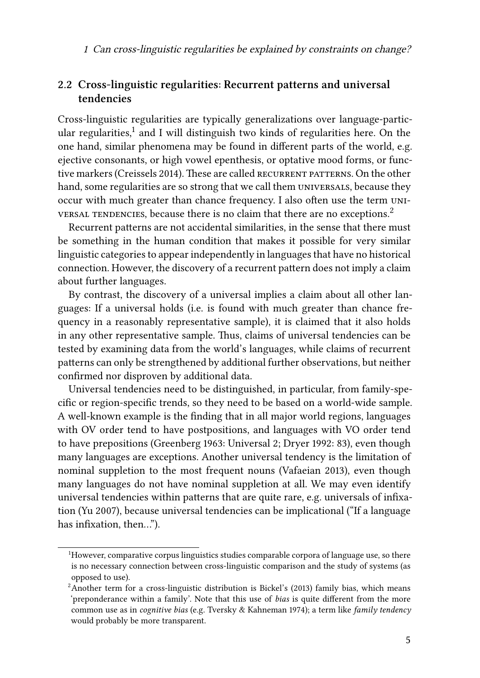#### <span id="page-4-0"></span>**2.2 Cross-linguistic regularities: Recurrent patterns and universal tendencies**

Cross-linguistic regularities are typically generalizations over language-particular regularities, $^1$  and I will distinguish two kinds of regularities here. On the one hand, similar phenomena may be found in different parts of the world, e.g. ejective consonants, or high vowel epenthesis, or optative mood forms, or func-tive markers [\(Creissels 2014](#page-18-8)). These are called RECURRENT PATTERNS. On the other hand, some regularities are so strong that we call them UNIVERSALS, because they occur with much greater than chance frequency. I also often use the term universal tendencies, because there is no claim that there are no exceptions.<sup>2</sup>

Recurrent patterns are not accidental similarities, in the sense that there must be something in the human condition that makes it possible for very similar linguistic categories to appear independently in languages that have no historical connection. However, the discovery of a recurrent pattern does not imply a claim about further languages.

By contrast, the discovery of a universal implies a claim about all other languages: If a universal holds (i.e. is found with much greater than chance frequency in a reasonably representative sample), it is claimed that it also holds in any other representative sample. Thus, claims of universal tendencies can be tested by examining data from the world's languages, while claims of recurrent patterns can only be strengthened by additional further observations, but neither confirmed nor disproven by additional data.

Universal tendencies need to be distinguished, in particular, from family-specific or region-specific trends, so they need to be based on a world-wide sample. A well-known example is the finding that in all major world regions, languages with OV order tend to have postpositions, and languages with VO order tend to have prepositions [\(Greenberg 1963:](#page-19-0) Universal 2; [Dryer 1992](#page-19-5): 83), even though many languages are exceptions. Another universal tendency is the limitation of nominal suppletion to the most frequent nouns([Vafaeian 2013\)](#page-22-1), even though many languages do not have nominal suppletion at all. We may even identify universal tendencies within patterns that are quite rare, e.g. universals of infixation([Yu 2007\)](#page-22-2), because universal tendencies can be implicational ("If a language has infixation, then…").

<sup>&</sup>lt;sup>1</sup>However, comparative corpus linguistics studies comparable corpora of language use, so there is no necessary connection between cross-linguistic comparison and the study of systems (as opposed to use).

 ${}^{2}$ Another term for a cross-linguistic distribution is [Bickel](#page-17-8)'s (2013) family bias, which means 'preponderance within a family'. Note that this use of *bias* is quite different from the more common use as in *cognitive bias* (e.g. [Tversky & Kahneman 1974](#page-22-3)); a term like *family tendency* would probably be more transparent.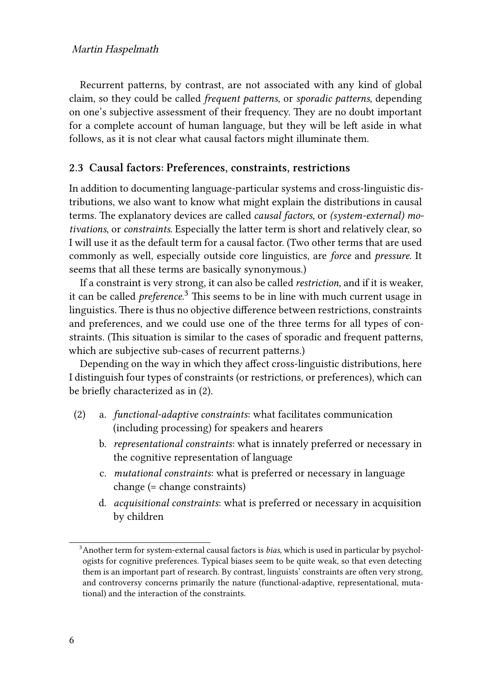Recurrent patterns, by contrast, are not associated with any kind of global claim, so they could be called *frequent patterns*, or *sporadic patterns*, depending on one's subjective assessment of their frequency. They are no doubt important for a complete account of human language, but they will be left aside in what follows, as it is not clear what causal factors might illuminate them.

#### <span id="page-5-0"></span>**2.3 Causal factors: Preferences, constraints, restrictions**

In addition to documenting language-particular systems and cross-linguistic distributions, we also want to know what might explain the distributions in causal terms. The explanatory devices are called *causal factors,* or *(system-external) motivations*, or *constraints*. Especially the latter term is short and relatively clear, so I will use it as the default term for a causal factor. (Two other terms that are used commonly as well, especially outside core linguistics, are *force* and *pressure*. It seems that all these terms are basically synonymous.)

If a constraint is very strong, it can also be called *restriction*, and if it is weaker, it can be called *preference.*3 This seems to be in line with much current usage in linguistics. There is thus no objective difference between restrictions, constraints and preferences, and we could use one of the three terms for all types of constraints. (This situation is similar to the cases of sporadic and frequent patterns, which are subjective sub-cases of recurrent patterns.)

Depending on the way in which they affect cross-linguistic distributions, here I distinguish four types of constraints (or restrictions, or preferences), which can be briefly characterized as in [\(2](#page-5-1)).

- <span id="page-5-1"></span>(2) a. *functional-adaptive constraints*: what facilitates communication (including processing) for speakers and hearers
	- b. *representational constraints*: what is innately preferred or necessary in the cognitive representation of language
	- c. *mutational constraints*: what is preferred or necessary in language change (= change constraints)
	- d. *acquisitional constraints*: what is preferred or necessary in acquisition by children

<sup>3</sup>Another term for system-external causal factors is *bias*, which is used in particular by psychologists for cognitive preferences. Typical biases seem to be quite weak, so that even detecting them is an important part of research. By contrast, linguists' constraints are often very strong, and controversy concerns primarily the nature (functional-adaptive, representational, mutational) and the interaction of the constraints.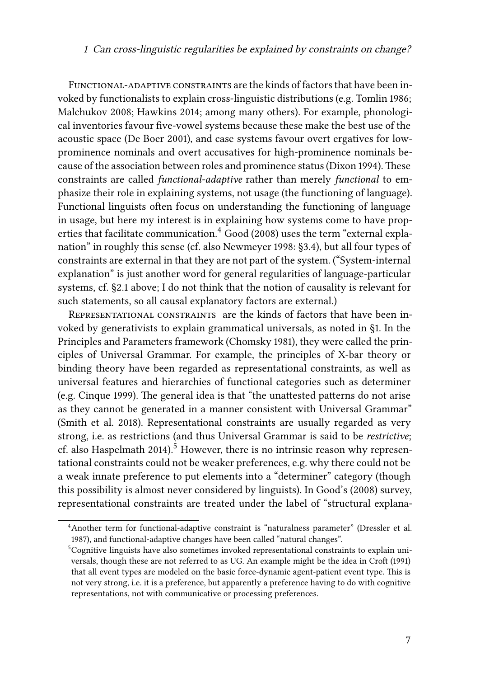FUNCTIONAL-ADAPTIVE CONSTRAINTS are the kinds of factors that have been invoked by functionalists to explain cross-linguistic distributions (e.g. [Tomlin 1986;](#page-21-4) [Malchukov 2008;](#page-21-5) [Hawkins 2014](#page-20-0); among many others). For example, phonological inventories favour five-vowel systems because these make the best use of the acoustic space [\(De Boer 2001\)](#page-19-9), and case systems favour overt ergatives for lowprominence nominals and overt accusatives for high-prominence nominals because of the association between roles and prominence status([Dixon 1994](#page-19-1)). These constraints are called *functional-adaptive* rather than merely *functional* to emphasize their role in explaining systems, not usage (the functioning of language). Functional linguists often focus on understanding the functioning of language in usage, but here my interest is in explaining how systems come to have properties that facilitate communication. $4 \text{ Good } (2008)$  uses the term "external explanation" in roughly this sense (cf. also [Newmeyer 1998](#page-21-6): §3.4), but all four types of constraints are external in that they are not part of the system. ("System-internal explanation" is just another word for general regularities of language-particular systems, cf. [§2.1](#page-3-1) above; I do not think that the notion of causality is relevant for such statements, so all causal explanatory factors are external.)

Representational constraints are the kinds of factors that have been invoked by generativists to explain grammatical universals, as noted in §[1.](#page-0-0) In the Principles and Parameters framework [\(Chomsky 1981](#page-18-0)), they were called the principles of Universal Grammar. For example, the principles of X-bar theory or binding theory have been regarded as representational constraints, as well as universal features and hierarchies of functional categories such as determiner (e.g. [Cinque 1999](#page-18-9)). The general idea is that "the unattested patterns do not arise as they cannot be generated in a manner consistent with Universal Grammar" [\(Smith et al. 2018](#page-21-7)). Representational constraints are usually regarded as very strong, i.e. as restrictions (and thus Universal Grammar is said to be *restrictive*;  $cf.$  also [Haspelmath 2014](#page-20-4)).<sup>5</sup> However, there is no intrinsic reason why representational constraints could not be weaker preferences, e.g. why there could not be a weak innate preference to put elements into a "determiner" category (though this possibility is almost never considered by linguists). In [Good'](#page-19-10)s (2008) survey, representational constraints are treated under the label of "structural explana-

<sup>4</sup>Another term for functional-adaptive constraint is "naturalness parameter" [\(Dressler et al.](#page-19-11) [1987](#page-19-11)), and functional-adaptive changes have been called "natural changes".

<sup>5</sup>Cognitive linguists have also sometimes invoked representational constraints to explain universals, though these are not referred to as UG. An example might be the idea in [Croft \(1991\)](#page-19-12) that all event types are modeled on the basic force-dynamic agent-patient event type. This is not very strong, i.e. it is a preference, but apparently a preference having to do with cognitive representations, not with communicative or processing preferences.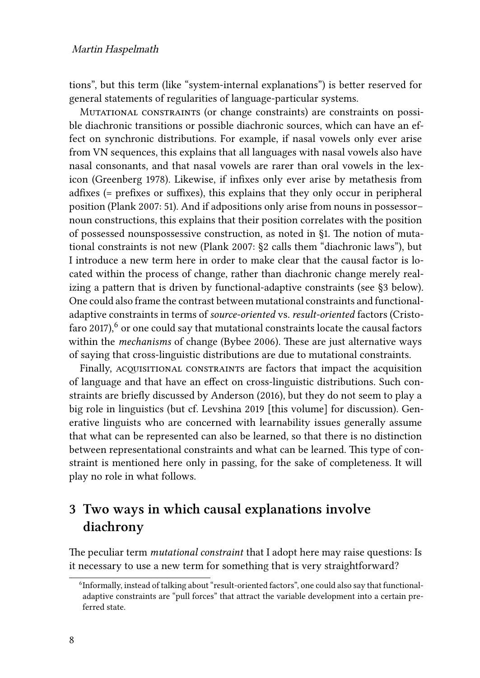tions", but this term (like "system-internal explanations") is better reserved for general statements of regularities of language-particular systems.

Mutational constraints (or change constraints) are constraints on possible diachronic transitions or possible diachronic sources, which can have an effect on synchronic distributions. For example, if nasal vowels only ever arise from VN sequences, this explains that all languages with nasal vowels also have nasal consonants, and that nasal vowels are rarer than oral vowels in the lexicon([Greenberg 1978\)](#page-20-3). Likewise, if infixes only ever arise by metathesis from adfixes (= prefixes or suffixes), this explains that they only occur in peripheral position [\(Plank 2007:](#page-21-8) 51). And if adpositions only arise from nouns in possessor– noun constructions, this explains that their position correlates with the position of possessed nounspossessive construction, as noted in [§1](#page-0-0). The notion of mutational constraints is not new [\(Plank 2007:](#page-21-8) §2 calls them "diachronic laws"), but I introduce a new term here in order to make clear that the causal factor is located within the process of change, rather than diachronic change merely realizing a pattern that is driven by functional-adaptive constraints (see§[3](#page-7-0) below). One could also frame the contrast between mutational constraints and functionaladaptive constraints in terms of *source-oriented* vs. *result-oriented* factors([Cristo](#page-19-13)[faro 2017\)](#page-19-13), $6$  or one could say that mutational constraints locate the causal factors within the *mechanisms* of change([Bybee 2006](#page-17-9)). These are just alternative ways of saying that cross-linguistic distributions are due to mutational constraints.

Finally, ACQUISITIONAL CONSTRAINTS are factors that impact the acquisition of language and that have an effect on cross-linguistic distributions. Such constraints are briefly discussed by [Anderson \(2016\)](#page-17-4), but they do not seem to play a big role in linguistics (but cf. [Levshina](#page-21-9) 2019 [this volume] for discussion). Generative linguists who are concerned with learnability issues generally assume that what can be represented can also be learned, so that there is no distinction between representational constraints and what can be learned. This type of constraint is mentioned here only in passing, for the sake of completeness. It will play no role in what follows.

### <span id="page-7-0"></span>**3 Two ways in which causal explanations involve diachrony**

The peculiar term *mutational constraint* that I adopt here may raise questions: Is it necessary to use a new term for something that is very straightforward?

<sup>&</sup>lt;sup>6</sup>Informally, instead of talking about "result-oriented factors", one could also say that functionaladaptive constraints are "pull forces" that attract the variable development into a certain preferred state.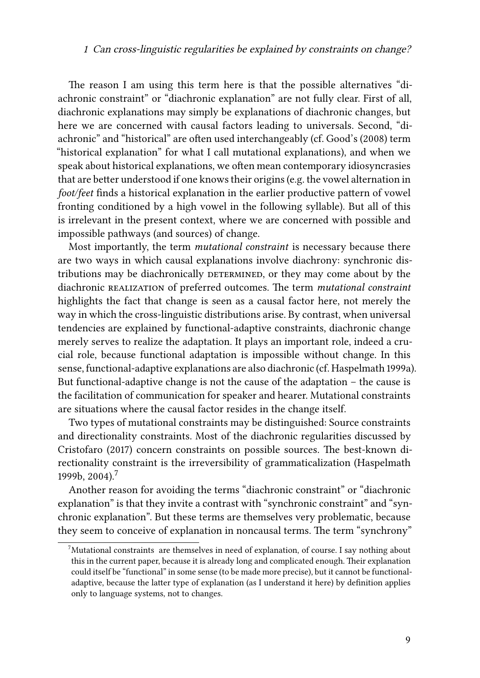The reason I am using this term here is that the possible alternatives "diachronic constraint" or "diachronic explanation" are not fully clear. First of all, diachronic explanations may simply be explanations of diachronic changes, but here we are concerned with causal factors leading to universals. Second, "diachronic" and "historical" are often used interchangeably (cf. [Good](#page-19-10)'s (2008) term "historical explanation" for what I call mutational explanations), and when we speak about historical explanations, we often mean contemporary idiosyncrasies that are better understood if one knows their origins (e.g. the vowel alternation in *foot/feet* finds a historical explanation in the earlier productive pattern of vowel fronting conditioned by a high vowel in the following syllable). But all of this is irrelevant in the present context, where we are concerned with possible and impossible pathways (and sources) of change.

Most importantly, the term *mutational constraint* is necessary because there are two ways in which causal explanations involve diachrony: synchronic distributions may be diachronically DETERMINED, or they may come about by the diachronic realization of preferred outcomes. The term *mutational constraint* highlights the fact that change is seen as a causal factor here, not merely the way in which the cross-linguistic distributions arise. By contrast, when universal tendencies are explained by functional-adaptive constraints, diachronic change merely serves to realize the adaptation. It plays an important role, indeed a crucial role, because functional adaptation is impossible without change. In this sense, functional-adaptive explanations are also diachronic (cf. [Haspelmath 1999a\)](#page-20-5). But functional-adaptive change is not the cause of the adaptation – the cause is the facilitation of communication for speaker and hearer. Mutational constraints are situations where the causal factor resides in the change itself.

Two types of mutational constraints may be distinguished: Source constraints and directionality constraints. Most of the diachronic regularities discussed by [Cristofaro \(2017\)](#page-19-13) concern constraints on possible sources. The best-known directionality constraint is the irreversibility of grammaticalization([Haspelmath](#page-20-6) [1999b,](#page-20-6) 2004).<sup>7</sup>

Another reason for avoiding the terms "diachronic constraint" or "diachronic explanation" is that they invite a contrast with "synchronic constraint" and "synchronic explanation". But these terms are themselves very problematic, because they seem to conceive of explanation in noncausal terms. The term "synchrony"

<sup>7</sup>Mutational constraints are themselves in need of explanation, of course. I say nothing about this in the current paper, because it is already long and complicated enough. Their explanation could itself be "functional" in some sense (to be made more precise), but it cannot be functionaladaptive, because the latter type of explanation (as I understand it here) by definition applies only to language systems, not to changes.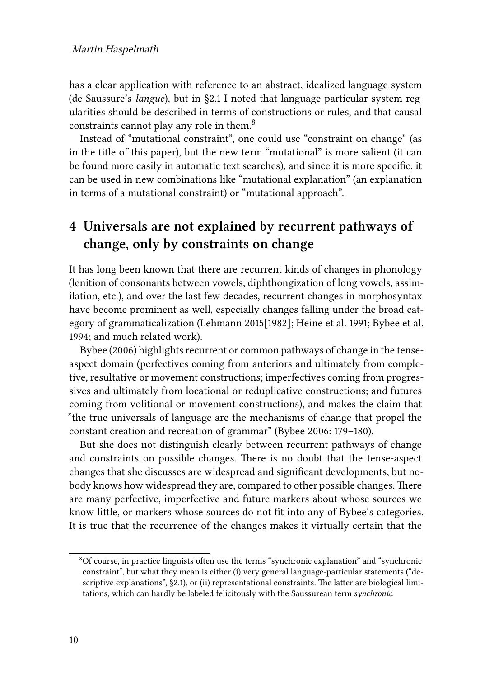has a clear application with reference to an abstract, idealized language system (de Saussure's *langue*), but in [§2.1](#page-3-1) I noted that language-particular system regularities should be described in terms of constructions or rules, and that causal constraints cannot play any role in them.8

Instead of "mutational constraint", one could use "constraint on change" (as in the title of this paper), but the new term "mutational" is more salient (it can be found more easily in automatic text searches), and since it is more specific, it can be used in new combinations like "mutational explanation" (an explanation in terms of a mutational constraint) or "mutational approach".

# <span id="page-9-0"></span>**4 Universals are not explained by recurrent pathways of change, only by constraints on change**

It has long been known that there are recurrent kinds of changes in phonology (lenition of consonants between vowels, diphthongization of long vowels, assimilation, etc.), and over the last few decades, recurrent changes in morphosyntax have become prominent as well, especially changes falling under the broad category of grammaticalization [\(Lehmann 2015\[1982\]](#page-20-2); [Heine et al. 1991;](#page-20-7) [Bybee et al.](#page-18-10) [1994;](#page-18-10) and much related work).

[Bybee \(2006\)](#page-17-9) highlights recurrent or common pathways of change in the tenseaspect domain (perfectives coming from anteriors and ultimately from completive, resultative or movement constructions; imperfectives coming from progressives and ultimately from locational or reduplicative constructions; and futures coming from volitional or movement constructions), and makes the claim that "the true universals of language are the mechanisms of change that propel the constant creation and recreation of grammar" [\(Bybee 2006](#page-17-9): 179–180).

But she does not distinguish clearly between recurrent pathways of change and constraints on possible changes. There is no doubt that the tense-aspect changes that she discusses are widespread and significant developments, but nobody knows how widespread they are, compared to other possible changes. There are many perfective, imperfective and future markers about whose sources we know little, or markers whose sources do not fit into any of Bybee's categories. It is true that the recurrence of the changes makes it virtually certain that the

<sup>8</sup>Of course, in practice linguists often use the terms "synchronic explanation" and "synchronic constraint", but what they mean is either (i) very general language-particular statements ("de-scriptive explanations", [§2.1\)](#page-3-1), or (ii) representational constraints. The latter are biological limitations, which can hardly be labeled felicitously with the Saussurean term *synchronic*.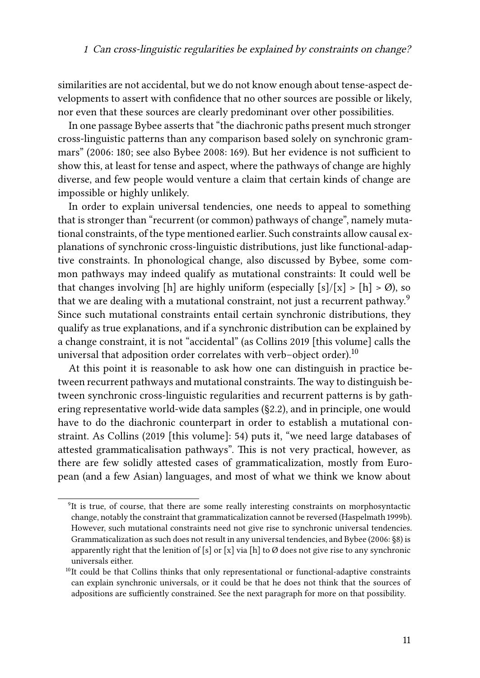similarities are not accidental, but we do not know enough about tense-aspect developments to assert with confidence that no other sources are possible or likely, nor even that these sources are clearly predominant over other possibilities.

In one passage Bybee asserts that "the diachronic paths present much stronger cross-linguistic patterns than any comparison based solely on synchronic grammars" [\(2006](#page-17-9): 180; see also [Bybee 2008:](#page-18-11) 169). But her evidence is not sufficient to show this, at least for tense and aspect, where the pathways of change are highly diverse, and few people would venture a claim that certain kinds of change are impossible or highly unlikely.

In order to explain universal tendencies, one needs to appeal to something that is stronger than "recurrent (or common) pathways of change", namely mutational constraints, of the type mentioned earlier. Such constraints allow causal explanations of synchronic cross-linguistic distributions, just like functional-adaptive constraints. In phonological change, also discussed by Bybee, some common pathways may indeed qualify as mutational constraints: It could well be that changes involving [h] are highly uniform (especially  $[s]/[x] > [h] > \emptyset$ ), so that we are dealing with a mutational constraint, not just a recurrent pathway.<sup>9</sup> Since such mutational constraints entail certain synchronic distributions, they qualify as true explanations, and if a synchronic distribution can be explained by a change constraint, it is not "accidental" (as [Collins](#page-18-2) 2019 [this volume] calls the universal that adposition order correlates with verb–object order).<sup>10</sup>

At this point it is reasonable to ask how one can distinguish in practice between recurrent pathways and mutational constraints. The way to distinguish between synchronic cross-linguistic regularities and recurrent patterns is by gathering representative world-wide data samples (§[2.2\)](#page-4-0), and in principle, one would have to do the diachronic counterpart in order to establish a mutational constraint. As [Collins](#page-18-2) [\(2019](#page-18-2) [this volume]: [54\)](#page--1-0) puts it, "we need large databases of attested grammaticalisation pathways". This is not very practical, however, as there are few solidly attested cases of grammaticalization, mostly from European (and a few Asian) languages, and most of what we think we know about

<sup>&</sup>lt;sup>9</sup>It is true, of course, that there are some really interesting constraints on morphosyntactic change, notably the constraint that grammaticalization cannot be reversed [\(Haspelmath 1999b](#page-20-6)). However, such mutational constraints need not give rise to synchronic universal tendencies. Grammaticalization as such does not result in any universal tendencies, and [Bybee \(2006:](#page-17-9) §8) is apparently right that the lenition of [s] or [x] via [h] to  $\emptyset$  does not give rise to any synchronic universals either.

 $10$ It could be that Collins thinks that only representational or functional-adaptive constraints can explain synchronic universals, or it could be that he does not think that the sources of adpositions are sufficiently constrained. See the next paragraph for more on that possibility.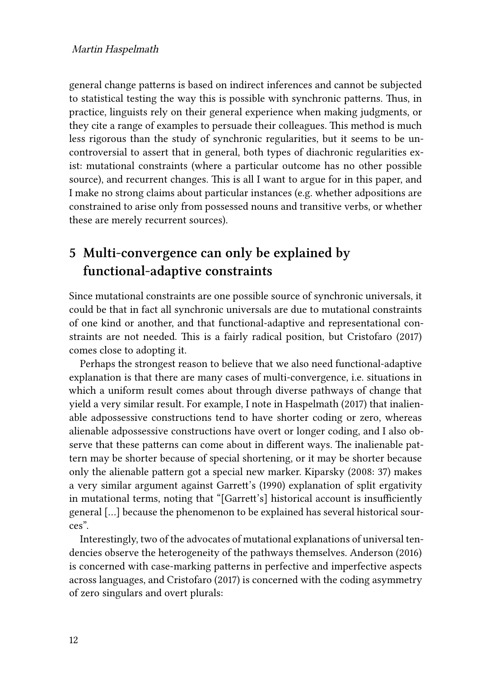general change patterns is based on indirect inferences and cannot be subjected to statistical testing the way this is possible with synchronic patterns. Thus, in practice, linguists rely on their general experience when making judgments, or they cite a range of examples to persuade their colleagues. This method is much less rigorous than the study of synchronic regularities, but it seems to be uncontroversial to assert that in general, both types of diachronic regularities exist: mutational constraints (where a particular outcome has no other possible source), and recurrent changes. This is all I want to argue for in this paper, and I make no strong claims about particular instances (e.g. whether adpositions are constrained to arise only from possessed nouns and transitive verbs, or whether these are merely recurrent sources).

### <span id="page-11-0"></span>**5 Multi-convergence can only be explained by functional-adaptive constraints**

Since mutational constraints are one possible source of synchronic universals, it could be that in fact all synchronic universals are due to mutational constraints of one kind or another, and that functional-adaptive and representational constraints are not needed. This is a fairly radical position, but [Cristofaro \(2017\)](#page-19-13) comes close to adopting it.

Perhaps the strongest reason to believe that we also need functional-adaptive explanation is that there are many cases of multi-convergence, i.e. situations in which a uniform result comes about through diverse pathways of change that yield a very similar result. For example, I note in [Haspelmath \(2017\)](#page-20-8) that inalienable adpossessive constructions tend to have shorter coding or zero, whereas alienable adpossessive constructions have overt or longer coding, and I also observe that these patterns can come about in different ways. The inalienable pattern may be shorter because of special shortening, or it may be shorter because only the alienable pattern got a special new marker. [Kiparsky \(2008:](#page-20-9) 37) makes a very similar argument against [Garrett'](#page-19-14)s (1990) explanation of split ergativity in mutational terms, noting that "[Garrett's] historical account is insufficiently general […] because the phenomenon to be explained has several historical sources".

Interestingly, two of the advocates of mutational explanations of universal tendencies observe the heterogeneity of the pathways themselves. [Anderson \(2016\)](#page-17-4) is concerned with case-marking patterns in perfective and imperfective aspects across languages, and [Cristofaro \(2017\)](#page-19-13) is concerned with the coding asymmetry of zero singulars and overt plurals: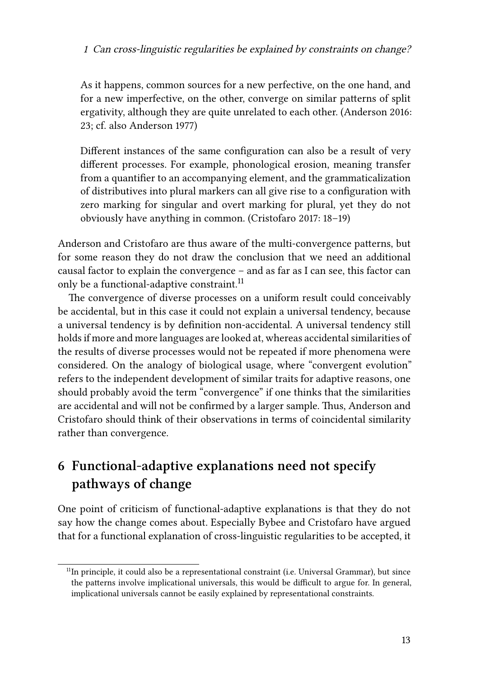As it happens, common sources for a new perfective, on the one hand, and for a new imperfective, on the other, converge on similar patterns of split ergativity, although they are quite unrelated to each other. [\(Anderson 2016](#page-17-4): 23; cf. also [Anderson 1977\)](#page-17-10)

Different instances of the same configuration can also be a result of very different processes. For example, phonological erosion, meaning transfer from a quantifier to an accompanying element, and the grammaticalization of distributives into plural markers can all give rise to a configuration with zero marking for singular and overt marking for plural, yet they do not obviously have anything in common. [\(Cristofaro 2017](#page-19-13): 18–19)

Anderson and Cristofaro are thus aware of the multi-convergence patterns, but for some reason they do not draw the conclusion that we need an additional causal factor to explain the convergence – and as far as I can see, this factor can only be a functional-adaptive constraint.<sup>11</sup>

The convergence of diverse processes on a uniform result could conceivably be accidental, but in this case it could not explain a universal tendency, because a universal tendency is by definition non-accidental. A universal tendency still holds if more and more languages are looked at, whereas accidental similarities of the results of diverse processes would not be repeated if more phenomena were considered. On the analogy of biological usage, where "convergent evolution" refers to the independent development of similar traits for adaptive reasons, one should probably avoid the term "convergence" if one thinks that the similarities are accidental and will not be confirmed by a larger sample. Thus, Anderson and Cristofaro should think of their observations in terms of coincidental similarity rather than convergence.

# <span id="page-12-0"></span>**6 Functional-adaptive explanations need not specify pathways of change**

One point of criticism of functional-adaptive explanations is that they do not say how the change comes about. Especially Bybee and Cristofaro have argued that for a functional explanation of cross-linguistic regularities to be accepted, it

<sup>&</sup>lt;sup>11</sup>In principle, it could also be a representational constraint (i.e. Universal Grammar), but since the patterns involve implicational universals, this would be difficult to argue for. In general, implicational universals cannot be easily explained by representational constraints.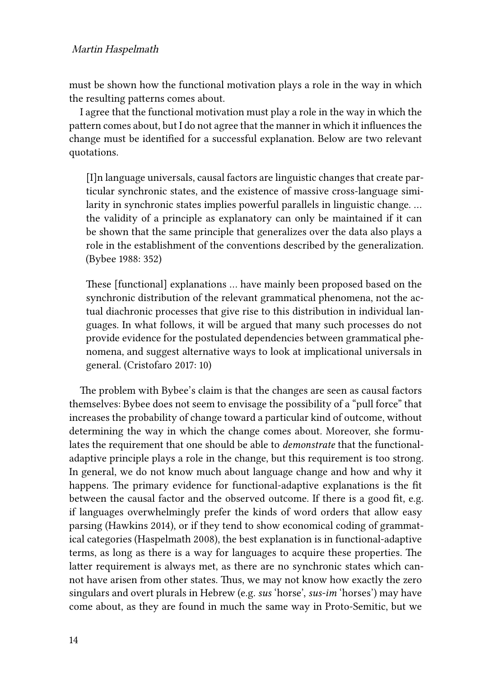#### Martin Haspelmath

must be shown how the functional motivation plays a role in the way in which the resulting patterns comes about.

I agree that the functional motivation must play a role in the way in which the pattern comes about, but I do not agree that the manner in which it influences the change must be identified for a successful explanation. Below are two relevant quotations.

[I]n language universals, causal factors are linguistic changes that create particular synchronic states, and the existence of massive cross-language similarity in synchronic states implies powerful parallels in linguistic change. … the validity of a principle as explanatory can only be maintained if it can be shown that the same principle that generalizes over the data also plays a role in the establishment of the conventions described by the generalization. [\(Bybee 1988:](#page-17-0) 352)

These [functional] explanations … have mainly been proposed based on the synchronic distribution of the relevant grammatical phenomena, not the actual diachronic processes that give rise to this distribution in individual languages. In what follows, it will be argued that many such processes do not provide evidence for the postulated dependencies between grammatical phenomena, and suggest alternative ways to look at implicational universals in general.([Cristofaro 2017:](#page-19-13) 10)

The problem with Bybee's claim is that the changes are seen as causal factors themselves: Bybee does not seem to envisage the possibility of a "pull force" that increases the probability of change toward a particular kind of outcome, without determining the way in which the change comes about. Moreover, she formulates the requirement that one should be able to *demonstrate* that the functionaladaptive principle plays a role in the change, but this requirement is too strong. In general, we do not know much about language change and how and why it happens. The primary evidence for functional-adaptive explanations is the fit between the causal factor and the observed outcome. If there is a good fit, e.g. if languages overwhelmingly prefer the kinds of word orders that allow easy parsing([Hawkins 2014](#page-20-0)), or if they tend to show economical coding of grammatical categories [\(Haspelmath 2008](#page-20-10)), the best explanation is in functional-adaptive terms, as long as there is a way for languages to acquire these properties. The latter requirement is always met, as there are no synchronic states which cannot have arisen from other states. Thus, we may not know how exactly the zero singulars and overt plurals in Hebrew (e.g. *sus* 'horse', *sus-im* 'horses') may have come about, as they are found in much the same way in Proto-Semitic, but we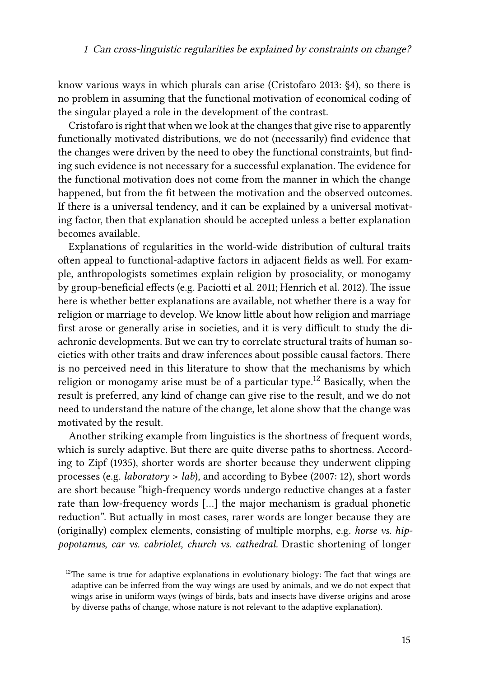know various ways in which plurals can arise([Cristofaro 2013:](#page-18-4) §4), so there is no problem in assuming that the functional motivation of economical coding of the singular played a role in the development of the contrast.

Cristofaro is right that when we look at the changes that give rise to apparently functionally motivated distributions, we do not (necessarily) find evidence that the changes were driven by the need to obey the functional constraints, but finding such evidence is not necessary for a successful explanation. The evidence for the functional motivation does not come from the manner in which the change happened, but from the fit between the motivation and the observed outcomes. If there is a universal tendency, and it can be explained by a universal motivating factor, then that explanation should be accepted unless a better explanation becomes available.

Explanations of regularities in the world-wide distribution of cultural traits often appeal to functional-adaptive factors in adjacent fields as well. For example, anthropologists sometimes explain religion by prosociality, or monogamy by group-beneficial effects (e.g. [Paciotti et al. 2011](#page-21-10); [Henrich et al. 2012](#page-20-11)). The issue here is whether better explanations are available, not whether there is a way for religion or marriage to develop. We know little about how religion and marriage first arose or generally arise in societies, and it is very difficult to study the diachronic developments. But we can try to correlate structural traits of human societies with other traits and draw inferences about possible causal factors. There is no perceived need in this literature to show that the mechanisms by which religion or monogamy arise must be of a particular type.<sup>12</sup> Basically, when the result is preferred, any kind of change can give rise to the result, and we do not need to understand the nature of the change, let alone show that the change was motivated by the result.

Another striking example from linguistics is the shortness of frequent words, which is surely adaptive. But there are quite diverse paths to shortness. According to [Zipf \(1935\)](#page-22-4), shorter words are shorter because they underwent clipping processes (e.g. *laboratory* > *lab*), and according to [Bybee \(2007:](#page-18-12) 12), short words are short because "high-frequency words undergo reductive changes at a faster rate than low-frequency words […] the major mechanism is gradual phonetic reduction". But actually in most cases, rarer words are longer because they are (originally) complex elements, consisting of multiple morphs, e.g. *horse vs. hippopotamus*, *car vs. cabriolet*, *church vs. cathedral.* Drastic shortening of longer

 $12$ The same is true for adaptive explanations in evolutionary biology: The fact that wings are adaptive can be inferred from the way wings are used by animals, and we do not expect that wings arise in uniform ways (wings of birds, bats and insects have diverse origins and arose by diverse paths of change, whose nature is not relevant to the adaptive explanation).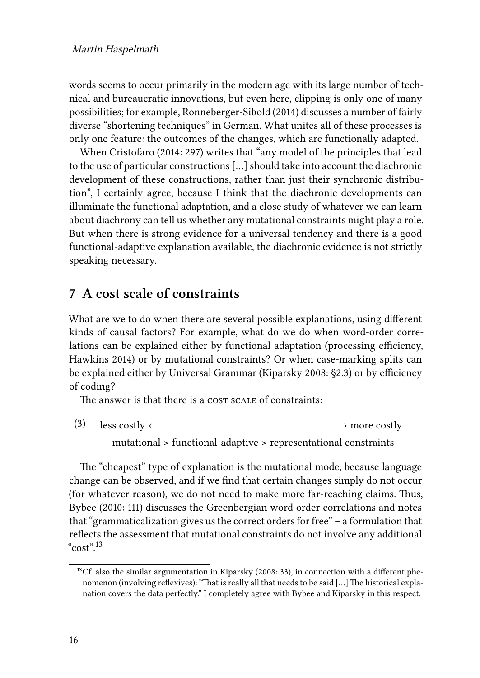words seems to occur primarily in the modern age with its large number of technical and bureaucratic innovations, but even here, clipping is only one of many possibilities; for example, [Ronneberger-Sibold \(2014\)](#page-21-11) discusses a number of fairly diverse "shortening techniques" in German. What unites all of these processes is only one feature: the outcomes of the changes, which are functionally adapted.

When [Cristofaro \(2014:](#page-18-5) 297) writes that "any model of the principles that lead to the use of particular constructions […] should take into account the diachronic development of these constructions, rather than just their synchronic distribution", I certainly agree, because I think that the diachronic developments can illuminate the functional adaptation, and a close study of whatever we can learn about diachrony can tell us whether any mutational constraints might play a role. But when there is strong evidence for a universal tendency and there is a good functional-adaptive explanation available, the diachronic evidence is not strictly speaking necessary.

### <span id="page-15-0"></span>**7 A cost scale of constraints**

What are we to do when there are several possible explanations, using different kinds of causal factors? For example, what do we do when word-order correlations can be explained either by functional adaptation (processing efficiency, [Hawkins 2014](#page-20-0)) or by mutational constraints? Or when case-marking splits can be explained either by Universal Grammar [\(Kiparsky 2008](#page-20-9): §2.3) or by efficiency of coding?

The answer is that there is a cost scale of constraints:

(3) less costly  $\longleftrightarrow$  more costly mutational > functional-adaptive > representational constraints

The "cheapest" type of explanation is the mutational mode, because language change can be observed, and if we find that certain changes simply do not occur (for whatever reason), we do not need to make more far-reaching claims. Thus, [Bybee \(2010:](#page-18-7) 111) discusses the Greenbergian word order correlations and notes that "grammaticalization gives us the correct orders for free" – a formulation that reflects the assessment that mutational constraints do not involve any additional " $\text{cost}$ " 13

<sup>&</sup>lt;sup>13</sup>Cf. also the similar argumentation in [Kiparsky \(2008:](#page-20-9) 33), in connection with a different phenomenon (involving reflexives): "That is really all that needs to be said […] The historical explanation covers the data perfectly." I completely agree with Bybee and Kiparsky in this respect.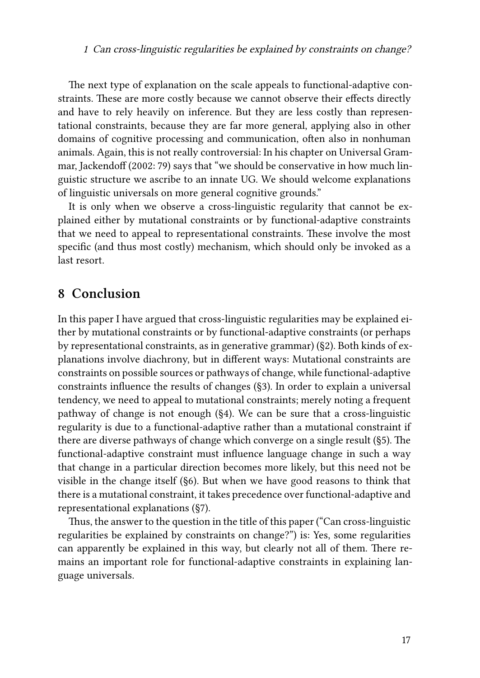The next type of explanation on the scale appeals to functional-adaptive constraints. These are more costly because we cannot observe their effects directly and have to rely heavily on inference. But they are less costly than representational constraints, because they are far more general, applying also in other domains of cognitive processing and communication, often also in nonhuman animals. Again, this is not really controversial: In his chapter on Universal Grammar, [Jackendoff \(2002](#page-20-12): 79) says that "we should be conservative in how much linguistic structure we ascribe to an innate UG. We should welcome explanations of linguistic universals on more general cognitive grounds."

It is only when we observe a cross-linguistic regularity that cannot be explained either by mutational constraints or by functional-adaptive constraints that we need to appeal to representational constraints. These involve the most specific (and thus most costly) mechanism, which should only be invoked as a last resort.

#### **8 Conclusion**

In this paper I have argued that cross-linguistic regularities may be explained either by mutational constraints or by functional-adaptive constraints (or perhaps by representational constraints, as in generative grammar) ([§2](#page-3-0)). Both kinds of explanations involve diachrony, but in different ways: Mutational constraints are constraints on possible sources or pathways of change, while functional-adaptive constraints influence the results of changes ([§3](#page-7-0)). In order to explain a universal tendency, we need to appeal to mutational constraints; merely noting a frequent pathway of change is not enough (§[4\)](#page-9-0). We can be sure that a cross-linguistic regularity is due to a functional-adaptive rather than a mutational constraint if there are diverse pathways of change which converge on a single result ([§5](#page-11-0)). The functional-adaptive constraint must influence language change in such a way that change in a particular direction becomes more likely, but this need not be visible in the change itself ([§6](#page-12-0)). But when we have good reasons to think that there is a mutational constraint, it takes precedence over functional-adaptive and representational explanations ([§7\)](#page-15-0).

Thus, the answer to the question in the title of this paper ("Can cross-linguistic regularities be explained by constraints on change?") is: Yes, some regularities can apparently be explained in this way, but clearly not all of them. There remains an important role for functional-adaptive constraints in explaining language universals.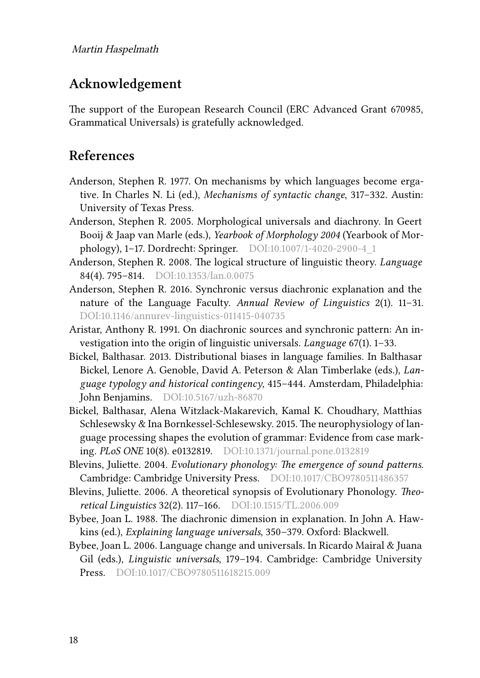### **Acknowledgement**

The support of the European Research Council (ERC Advanced Grant 670985, Grammatical Universals) is gratefully acknowledged.

### **References**

- <span id="page-17-10"></span>Anderson, Stephen R. 1977. On mechanisms by which languages become ergative. In Charles N. Li (ed.), *Mechanisms of syntactic change*, 317–332. Austin: University of Texas Press.
- <span id="page-17-2"></span>Anderson, Stephen R. 2005. Morphological universals and diachrony. In Geert Booij & Jaap van Marle (eds.), *Yearbook of Morphology 2004* (Yearbook of Morphology), 1–17. Dordrecht: Springer. DOI[:10.1007/1-4020-2900-4\\_1](http://dx.doi.org/10.1007/1-4020-2900-4_1)
- <span id="page-17-3"></span>Anderson, Stephen R. 2008. The logical structure of linguistic theory. *Language* 84(4). 795–814. DOI[:10.1353/lan.0.0075](http://dx.doi.org/10.1353/lan.0.0075)
- <span id="page-17-4"></span>Anderson, Stephen R. 2016. Synchronic versus diachronic explanation and the nature of the Language Faculty. *Annual Review of Linguistics* 2(1). 11–31. DOI:[10.1146/annurev-linguistics-011415-040735](http://dx.doi.org/10.1146/annurev-linguistics-011415-040735)
- <span id="page-17-1"></span>Aristar, Anthony R. 1991. On diachronic sources and synchronic pattern: An investigation into the origin of linguistic universals. *Language* 67(1). 1–33.
- <span id="page-17-8"></span>Bickel, Balthasar. 2013. Distributional biases in language families. In Balthasar Bickel, Lenore A. Genoble, David A. Peterson & Alan Timberlake (eds.), *Language typology and historical contingency*, 415–444. Amsterdam, Philadelphia: John Benjamins. DOI[:10.5167/uzh-86870](http://dx.doi.org/10.5167/uzh-86870)
- <span id="page-17-7"></span>Bickel, Balthasar, Alena Witzlack-Makarevich, Kamal K. Choudhary, Matthias Schlesewsky & Ina Bornkessel-Schlesewsky. 2015. The neurophysiology of language processing shapes the evolution of grammar: Evidence from case marking. *PLoS ONE* 10(8). e0132819. DOI:[10.1371/journal.pone.0132819](http://dx.doi.org/10.1371/journal.pone.0132819)
- <span id="page-17-5"></span>Blevins, Juliette. 2004. *Evolutionary phonology: The emergence of sound patterns*. Cambridge: Cambridge University Press. DOI:[10.1017/CBO9780511486357](http://dx.doi.org/10.1017/CBO9780511486357)
- <span id="page-17-6"></span>Blevins, Juliette. 2006. A theoretical synopsis of Evolutionary Phonology. *Theoretical Linguistics* 32(2). 117–166. DOI:[10.1515/TL.2006.009](http://dx.doi.org/10.1515/TL.2006.009)
- <span id="page-17-0"></span>Bybee, Joan L. 1988. The diachronic dimension in explanation. In John A. Hawkins (ed.), *Explaining language universals*, 350–379. Oxford: Blackwell.
- <span id="page-17-9"></span>Bybee, Joan L. 2006. Language change and universals. In Ricardo Mairal & Juana Gil (eds.), *Linguistic universals*, 179–194. Cambridge: Cambridge University Press. DOI:[10.1017/CBO9780511618215.009](http://dx.doi.org/10.1017/CBO9780511618215.009)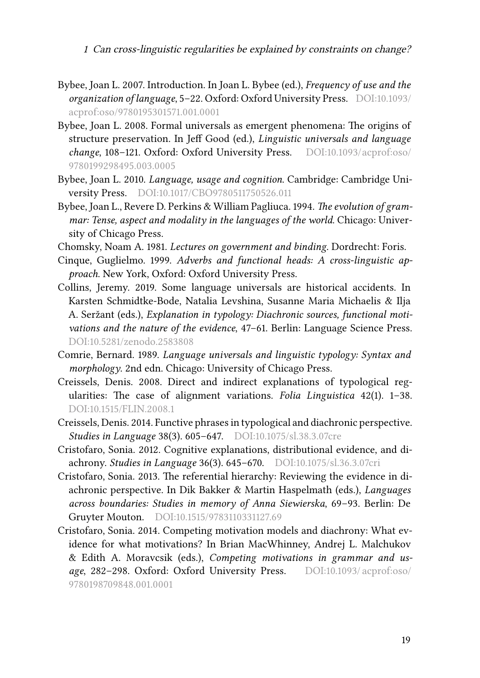- <span id="page-18-12"></span>Bybee, Joan L. 2007. Introduction. In Joan L. Bybee (ed.), *Frequency of use and the organization of language*, 5–22. Oxford: Oxford University Press. DOI:[10.1093/](http://dx.doi.org/10.1093/acprof:oso/9780195301571.001.0001) [acprof:oso/9780195301571.001.0001](http://dx.doi.org/10.1093/acprof:oso/9780195301571.001.0001)
- <span id="page-18-11"></span>Bybee, Joan L. 2008. Formal universals as emergent phenomena: The origins of structure preservation. In Jeff Good (ed.), *Linguistic universals and language change*, 108–121. Oxford: Oxford University Press. DOI:[10.1093/acprof:oso/](http://dx.doi.org/10.1093/acprof:oso/9780199298495.003.0005) [9780199298495.003.0005](http://dx.doi.org/10.1093/acprof:oso/9780199298495.003.0005)
- <span id="page-18-7"></span>Bybee, Joan L. 2010. *Language, usage and cognition*. Cambridge: Cambridge University Press. DOI:[10.1017/CBO9780511750526.011](http://dx.doi.org/10.1017/CBO9780511750526.011)
- <span id="page-18-10"></span>Bybee, Joan L., Revere D. Perkins & William Pagliuca. 1994. *The evolution of grammar: Tense, aspect and modality in the languages of the world*. Chicago: University of Chicago Press.
- <span id="page-18-0"></span>Chomsky, Noam A. 1981. *Lectures on government and binding*. Dordrecht: Foris.
- <span id="page-18-9"></span>Cinque, Guglielmo. 1999. *Adverbs and functional heads: A cross-linguistic approach*. New York, Oxford: Oxford University Press.
- <span id="page-18-2"></span>Collins, Jeremy. 2019. Some language universals are historical accidents. In Karsten Schmidtke-Bode, Natalia Levshina, Susanne Maria Michaelis & Ilja A. Seržant (eds.), *Explanation in typology: Diachronic sources, functional motivations and the nature of the evidence*, 47–61. Berlin: Language Science Press. DOI[:10.5281/zenodo.2583808](http://dx.doi.org/10.5281/zenodo.2583808)
- <span id="page-18-1"></span>Comrie, Bernard. 1989. *Language universals and linguistic typology: Syntax and morphology*. 2nd edn. Chicago: University of Chicago Press.
- <span id="page-18-6"></span>Creissels, Denis. 2008. Direct and indirect explanations of typological regularities: The case of alignment variations. *Folia Linguistica* 42(1). 1–38. DOI[:10.1515/FLIN.2008.1](http://dx.doi.org/10.1515/FLIN.2008.1)
- <span id="page-18-8"></span>Creissels, Denis. 2014. Functive phrases in typological and diachronic perspective. *Studies in Language* 38(3). 605–647. DOI:[10.1075/sl.38.3.07cre](http://dx.doi.org/10.1075/sl.38.3.07cre)
- <span id="page-18-3"></span>Cristofaro, Sonia. 2012. Cognitive explanations, distributional evidence, and diachrony. *Studies in Language* 36(3). 645–670. DOI[:10.1075/sl.36.3.07cri](http://dx.doi.org/10.1075/sl.36.3.07cri)
- <span id="page-18-4"></span>Cristofaro, Sonia. 2013. The referential hierarchy: Reviewing the evidence in diachronic perspective. In Dik Bakker & Martin Haspelmath (eds.), *Languages across boundaries: Studies in memory of Anna Siewierska*, 69–93. Berlin: De Gruyter Mouton. DOI:[10.1515/9783110331127.69](http://dx.doi.org/10.1515/9783110331127.69)
- <span id="page-18-5"></span>Cristofaro, Sonia. 2014. Competing motivation models and diachrony: What evidence for what motivations? In Brian MacWhinney, Andrej L. Malchukov & Edith A. Moravcsik (eds.), *Competing motivations in grammar and usage*, 282–298. Oxford: Oxford University Press. DOI:[10.1093/ acprof:oso/](http://dx.doi.org/10.1093/acprof:oso/9780198709848.001.0001) [9780198709848.001.0001](http://dx.doi.org/10.1093/acprof:oso/9780198709848.001.0001)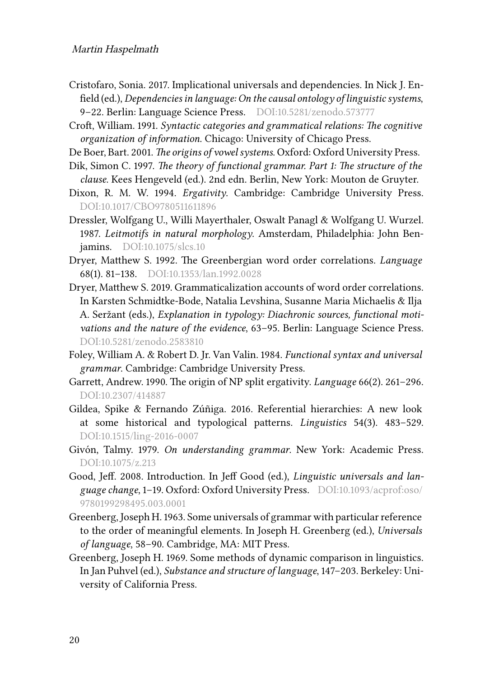- <span id="page-19-13"></span>Cristofaro, Sonia. 2017. Implicational universals and dependencies. In Nick J. Enfield (ed.), *Dependencies in language: On the causal ontology of linguistic systems*, 9-22. Berlin: Language Science Press. DOI:[10.5281/zenodo.573777](http://dx.doi.org/10.5281/zenodo.573777)
- <span id="page-19-12"></span>Croft, William. 1991. *Syntactic categories and grammatical relations: The cognitive organization of information*. Chicago: University of Chicago Press.
- <span id="page-19-9"></span>De Boer, Bart. 2001. *The origins of vowel systems*. Oxford: Oxford University Press.
- <span id="page-19-2"></span>Dik, Simon C. 1997. *The theory of functional grammar. Part 1: The structure of the clause*. Kees Hengeveld (ed.). 2nd edn. Berlin, New York: Mouton de Gruyter.
- <span id="page-19-1"></span>Dixon, R. M. W. 1994. *Ergativity*. Cambridge: Cambridge University Press. DOI:[10.1017/CBO9780511611896](http://dx.doi.org/10.1017/CBO9780511611896)
- <span id="page-19-11"></span>Dressler, Wolfgang U., Willi Mayerthaler, Oswalt Panagl & Wolfgang U. Wurzel. 1987. *Leitmotifs in natural morphology*. Amsterdam, Philadelphia: John Benjamins. DOI:[10.1075/slcs.10](http://dx.doi.org/10.1075/slcs.10)
- <span id="page-19-5"></span>Dryer, Matthew S. 1992. The Greenbergian word order correlations. *Language* 68(1). 81–138. DOI:[10.1353/lan.1992.0028](http://dx.doi.org/10.1353/lan.1992.0028)
- <span id="page-19-6"></span>Dryer, Matthew S. 2019. Grammaticalization accounts of word order correlations. In Karsten Schmidtke-Bode, Natalia Levshina, Susanne Maria Michaelis & Ilja A. Seržant (eds.), *Explanation in typology: Diachronic sources, functional motivations and the nature of the evidence*, 63–95. Berlin: Language Science Press. DOI:[10.5281/zenodo.2583810](http://dx.doi.org/10.5281/zenodo.2583810)
- <span id="page-19-3"></span>Foley, William A. & Robert D. Jr. Van Valin. 1984. *Functional syntax and universal grammar*. Cambridge: Cambridge University Press.
- <span id="page-19-14"></span>Garrett, Andrew. 1990. The origin of NP split ergativity. *Language* 66(2). 261–296. DOI:[10.2307/414887](http://dx.doi.org/10.2307/414887)
- <span id="page-19-8"></span>Gildea, Spike & Fernando Zúñiga. 2016. Referential hierarchies: A new look at some historical and typological patterns. *Linguistics* 54(3). 483–529. DOI:[10.1515/ling-2016-0007](http://dx.doi.org/10.1515/ling-2016-0007)
- <span id="page-19-7"></span>Givón, Talmy. 1979. *On understanding grammar*. New York: Academic Press. DOI:[10.1075/z.213](http://dx.doi.org/10.1075/z.213)
- <span id="page-19-10"></span>Good, Jeff. 2008. Introduction. In Jeff Good (ed.), *Linguistic universals and language change*, 1–19. Oxford: Oxford University Press. DOI:[10.1093/acprof:oso/](http://dx.doi.org/10.1093/acprof:oso/9780199298495.003.0001) [9780199298495.003.0001](http://dx.doi.org/10.1093/acprof:oso/9780199298495.003.0001)
- <span id="page-19-0"></span>Greenberg, Joseph H. 1963. Some universals of grammar with particular reference to the order of meaningful elements. In Joseph H. Greenberg (ed.), *Universals of language*, 58–90. Cambridge, MA: MIT Press.
- <span id="page-19-4"></span>Greenberg, Joseph H. 1969. Some methods of dynamic comparison in linguistics. In Jan Puhvel (ed.), *Substance and structure of language*, 147–203. Berkeley: University of California Press.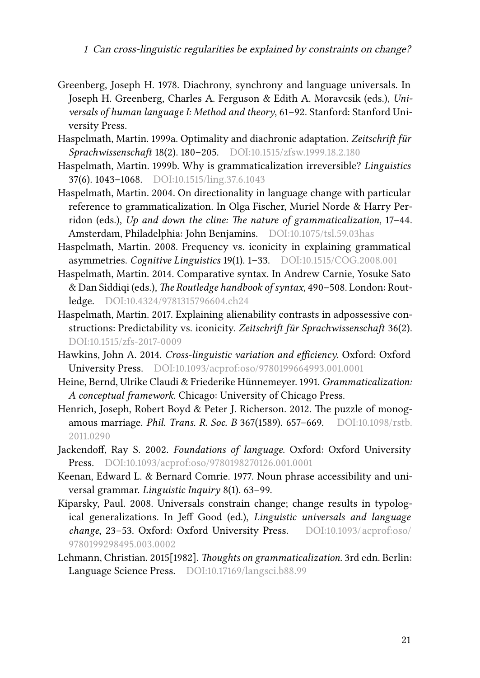- <span id="page-20-3"></span>Greenberg, Joseph H. 1978. Diachrony, synchrony and language universals. In Joseph H. Greenberg, Charles A. Ferguson & Edith A. Moravcsik (eds.), *Universals of human language I: Method and theory*, 61–92. Stanford: Stanford University Press.
- <span id="page-20-5"></span>Haspelmath, Martin. 1999a. Optimality and diachronic adaptation. *Zeitschrift für Sprachwissenschaft* 18(2). 180–205. DOI[:10.1515/zfsw.1999.18.2.180](http://dx.doi.org/10.1515/zfsw.1999.18.2.180)
- <span id="page-20-6"></span>Haspelmath, Martin. 1999b. Why is grammaticalization irreversible? *Linguistics* 37(6). 1043–1068. DOI[:10.1515/ling.37.6.1043](http://dx.doi.org/10.1515/ling.37.6.1043)
- Haspelmath, Martin. 2004. On directionality in language change with particular reference to grammaticalization. In Olga Fischer, Muriel Norde & Harry Perridon (eds.), *Up and down the cline: The nature of grammaticalization*, 17–44. Amsterdam, Philadelphia: John Benjamins. DOI[:10.1075/tsl.59.03has](http://dx.doi.org/10.1075/tsl.59.03has)
- <span id="page-20-10"></span>Haspelmath, Martin. 2008. Frequency vs. iconicity in explaining grammatical asymmetries. *Cognitive Linguistics* 19(1). 1–33. DOI[:10.1515/COG.2008.001](http://dx.doi.org/10.1515/COG.2008.001)
- <span id="page-20-4"></span>Haspelmath, Martin. 2014. Comparative syntax. In Andrew Carnie, Yosuke Sato & Dan Siddiqi (eds.), *The Routledge handbook of syntax*, 490–508. London: Routledge. DOI:[10.4324/9781315796604.ch24](http://dx.doi.org/10.4324/9781315796604.ch24)
- <span id="page-20-8"></span>Haspelmath, Martin. 2017. Explaining alienability contrasts in adpossessive constructions: Predictability vs. iconicity. *Zeitschrift für Sprachwissenschaft* 36(2). DOI[:10.1515/zfs-2017-0009](http://dx.doi.org/10.1515/zfs-2017-0009)
- <span id="page-20-0"></span>Hawkins, John A. 2014. *Cross-linguistic variation and efficiency*. Oxford: Oxford University Press. DOI[:10.1093/acprof:oso/9780199664993.001.0001](http://dx.doi.org/10.1093/acprof:oso/9780199664993.001.0001)
- <span id="page-20-7"></span>Heine, Bernd, Ulrike Claudi & Friederike Hünnemeyer. 1991. *Grammaticalization: A conceptual framework*. Chicago: University of Chicago Press.
- <span id="page-20-11"></span>Henrich, Joseph, Robert Boyd & Peter J. Richerson. 2012. The puzzle of monogamous marriage. *Phil. Trans. R. Soc. B* 367(1589). 657–669. DOI:[10.1098/rstb.](http://dx.doi.org/10.1098/rstb.2011.0290) [2011.0290](http://dx.doi.org/10.1098/rstb.2011.0290)
- <span id="page-20-12"></span>Jackendoff, Ray S. 2002. *Foundations of language*. Oxford: Oxford University Press. DOI:[10.1093/acprof:oso/9780198270126.001.0001](http://dx.doi.org/10.1093/acprof:oso/9780198270126.001.0001)
- <span id="page-20-1"></span>Keenan, Edward L. & Bernard Comrie. 1977. Noun phrase accessibility and universal grammar. *Linguistic Inquiry* 8(1). 63–99.
- <span id="page-20-9"></span>Kiparsky, Paul. 2008. Universals constrain change; change results in typological generalizations. In Jeff Good (ed.), *Linguistic universals and language change*, 23–53. Oxford: Oxford University Press. DOI[:10.1093/acprof:oso/](http://dx.doi.org/10.1093/acprof:oso/9780199298495.003.0002) [9780199298495.003.0002](http://dx.doi.org/10.1093/acprof:oso/9780199298495.003.0002)
- <span id="page-20-2"></span>Lehmann, Christian. 2015[1982]. *Thoughts on grammaticalization*. 3rd edn. Berlin: Language Science Press. DOI[:10.17169/langsci.b88.99](http://dx.doi.org/10.17169/langsci.b88.99)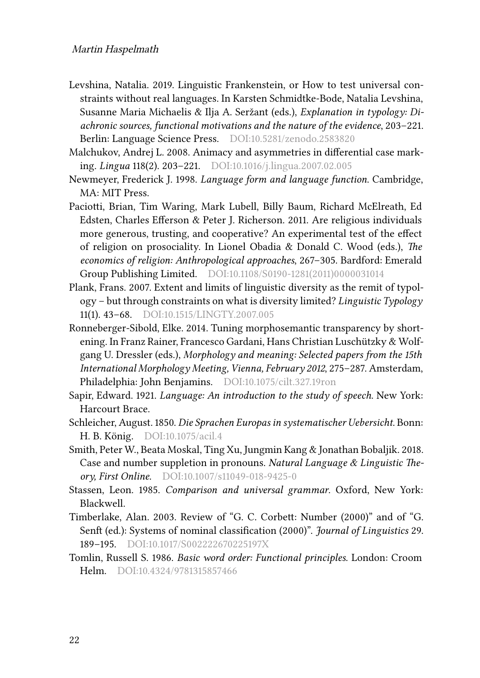- <span id="page-21-9"></span>Levshina, Natalia. 2019. Linguistic Frankenstein, or How to test universal constraints without real languages. In Karsten Schmidtke-Bode, Natalia Levshina, Susanne Maria Michaelis & Ilja A. Seržant (eds.), *Explanation in typology: Diachronic sources, functional motivations and the nature of the evidence*, 203–221. Berlin: Language Science Press. DOI[:10.5281/zenodo.2583820](http://dx.doi.org/10.5281/zenodo.2583820)
- <span id="page-21-5"></span>Malchukov, Andrej L. 2008. Animacy and asymmetries in differential case marking. *Lingua* 118(2). 203–221. DOI[:10.1016/j.lingua.2007.02.005](http://dx.doi.org/10.1016/j.lingua.2007.02.005)
- <span id="page-21-6"></span>Newmeyer, Frederick J. 1998. *Language form and language function*. Cambridge, MA: MIT Press.
- <span id="page-21-10"></span>Paciotti, Brian, Tim Waring, Mark Lubell, Billy Baum, Richard McElreath, Ed Edsten, Charles Efferson & Peter J. Richerson. 2011. Are religious individuals more generous, trusting, and cooperative? An experimental test of the effect of religion on prosociality. In Lionel Obadia & Donald C. Wood (eds.), *The economics of religion: Anthropological approaches*, 267–305. Bardford: Emerald Group Publishing Limited. DOI[:10.1108/S0190-1281\(2011\)0000031014](http://dx.doi.org/10.1108/S0190-1281(2011)0000031014)
- <span id="page-21-8"></span>Plank, Frans. 2007. Extent and limits of linguistic diversity as the remit of typology – but through constraints on what is diversity limited? *Linguistic Typology* 11(1). 43–68. DOI:[10.1515/LINGTY.2007.005](http://dx.doi.org/10.1515/LINGTY.2007.005)
- <span id="page-21-11"></span>Ronneberger-Sibold, Elke. 2014. Tuning morphosemantic transparency by shortening. In Franz Rainer, Francesco Gardani, Hans Christian Luschützky & Wolfgang U. Dressler (eds.), *Morphology and meaning: Selected papers from the 15th International Morphology Meeting, Vienna, February 2012*, 275–287. Amsterdam, Philadelphia: John Benjamins. DOI:[10.1075/cilt.327.19ron](http://dx.doi.org/10.1075/cilt.327.19ron)
- <span id="page-21-1"></span>Sapir, Edward. 1921. *Language: An introduction to the study of speech*. New York: Harcourt Brace.
- <span id="page-21-0"></span>Schleicher, August. 1850. *Die Sprachen Europas in systematischer Uebersicht*. Bonn: H. B. König. DOI[:10.1075/acil.4](http://dx.doi.org/10.1075/acil.4)
- <span id="page-21-7"></span>Smith, Peter W., Beata Moskal, Ting Xu, Jungmin Kang & Jonathan Bobaljik. 2018. Case and number suppletion in pronouns. *Natural Language & Linguistic Theory, First Online*. DOI[:10.1007/s11049-018-9425-0](http://dx.doi.org/10.1007/s11049-018-9425-0)
- <span id="page-21-2"></span>Stassen, Leon. 1985. *Comparison and universal grammar*. Oxford, New York: Blackwell.
- <span id="page-21-3"></span>Timberlake, Alan. 2003. Review of "G. C. Corbett: Number (2000)" and of "G. Senft (ed.): Systems of nominal classification (2000)". *Journal of Linguistics* 29. 189–195. DOI[:10.1017/S002222670225197X](http://dx.doi.org/10.1017/S002222670225197X)
- <span id="page-21-4"></span>Tomlin, Russell S. 1986. *Basic word order: Functional principles*. London: Croom Helm. DOI[:10.4324/9781315857466](http://dx.doi.org/10.4324/9781315857466)